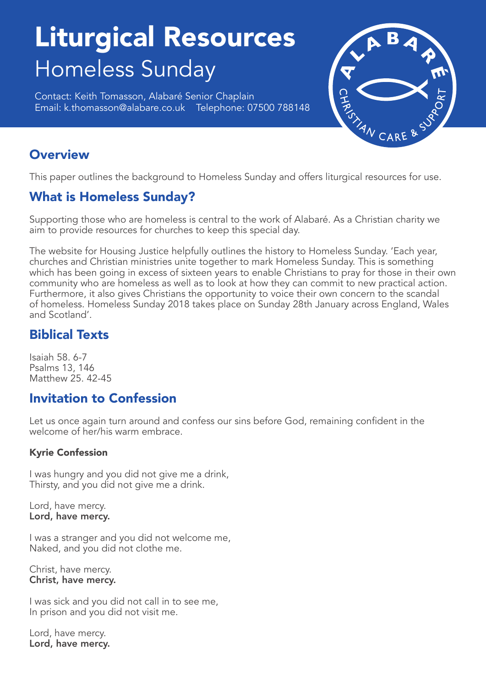# Liturgical Resources Homeless Sunday

Contact: Keith Tomasson, Alabaré Senior Chaplain Email: k.thomasson@alabare.co.uk Telephone: 07500 788148



# **Overview**

This paper outlines the background to Homeless Sunday and offers liturgical resources for use.

# What is Homeless Sunday?

Supporting those who are homeless is central to the work of Alabaré. As a Christian charity we aim to provide resources for churches to keep this special day.

The website for Housing Justice helpfully outlines the history to Homeless Sunday. 'Each year, churches and Christian ministries unite together to mark Homeless Sunday. This is something which has been going in excess of sixteen years to enable Christians to pray for those in their own community who are homeless as well as to look at how they can commit to new practical action. Furthermore, it also gives Christians the opportunity to voice their own concern to the scandal of homeless. Homeless Sunday 2018 takes place on Sunday 28th January across England, Wales and Scotland'.

# Biblical Texts

Isaiah 58. 6-7 Psalms 13, 146 Matthew 25. 42-45

## Invitation to Confession

Let us once again turn around and confess our sins before God, remaining confident in the welcome of her/his warm embrace.

## Kyrie Confession

I was hungry and you did not give me a drink, Thirsty, and you did not give me a drink.

Lord, have mercy. Lord, have mercy.

I was a stranger and you did not welcome me, Naked, and you did not clothe me.

Christ, have mercy. Christ, have mercy.

I was sick and you did not call in to see me, In prison and you did not visit me.

Lord, have mercy. Lord, have mercy.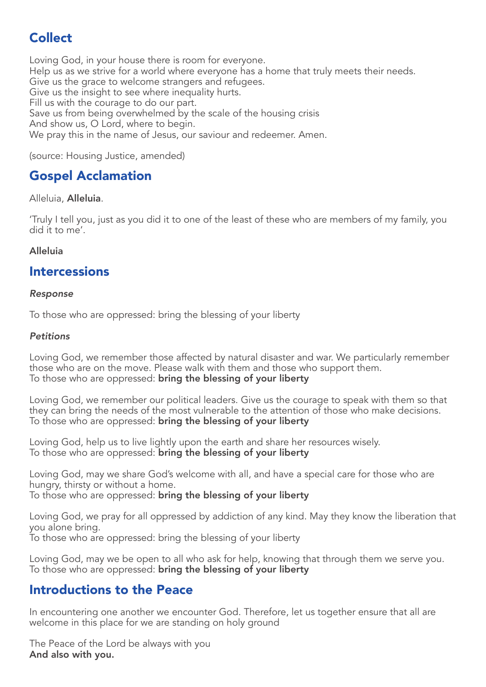# Collect

Loving God, in your house there is room for everyone. Help us as we strive for a world where everyone has a home that truly meets their needs. Give us the grace to welcome strangers and refugees. Give us the insight to see where inequality hurts. Fill us with the courage to do our part. Save us from being overwhelmed by the scale of the housing crisis And show us, O Lord, where to begin. We pray this in the name of Jesus, our saviour and redeemer. Amen.

(source: Housing Justice, amended)

# Gospel Acclamation

## Alleluia, Alleluia.

'Truly I tell you, just as you did it to one of the least of these who are members of my family, you did it to me'.

## Alleluia

## Intercessions

## *Response*

To those who are oppressed: bring the blessing of your liberty

#### *Petitions*

Loving God, we remember those affected by natural disaster and war. We particularly remember those who are on the move. Please walk with them and those who support them. To those who are oppressed: bring the blessing of your liberty

Loving God, we remember our political leaders. Give us the courage to speak with them so that they can bring the needs of the most vulnerable to the attention of those who make decisions. To those who are oppressed: bring the blessing of your liberty

Loving God, help us to live lightly upon the earth and share her resources wisely. To those who are oppressed: **bring the blessing of your liberty** 

Loving God, may we share God's welcome with all, and have a special care for those who are hungry, thirsty or without a home. To those who are oppressed: bring the blessing of your liberty

Loving God, we pray for all oppressed by addiction of any kind. May they know the liberation that you alone bring. To those who are oppressed: bring the blessing of your liberty

Loving God, may we be open to all who ask for help, knowing that through them we serve you. To those who are oppressed: bring the blessing of your liberty

## Introductions to the Peace

In encountering one another we encounter God. Therefore, let us together ensure that all are welcome in this place for we are standing on holy ground

The Peace of the Lord be always with you And also with you.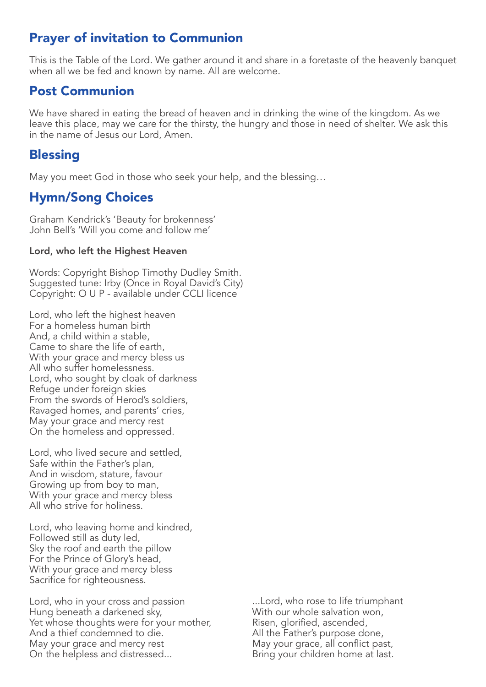## Prayer of invitation to Communion

This is the Table of the Lord. We gather around it and share in a foretaste of the heavenly banquet when all we be fed and known by name. All are welcome.

## Post Communion

We have shared in eating the bread of heaven and in drinking the wine of the kingdom. As we leave this place, may we care for the thirsty, the hungry and those in need of shelter. We ask this in the name of Jesus our Lord, Amen.

## **Blessing**

May you meet God in those who seek your help, and the blessing…

# Hymn/Song Choices

Graham Kendrick's 'Beauty for brokenness' John Bell's 'Will you come and follow me'

## Lord, who left the Highest Heaven

Words: Copyright Bishop Timothy Dudley Smith. Suggested tune: Irby (Once in Royal David's City) Copyright: O U P - available under CCLI licence

Lord, who left the highest heaven For a homeless human birth And, a child within a stable, Came to share the life of earth, With your grace and mercy bless us All who suffer homelessness. Lord, who sought by cloak of darkness Refuge under foreign skies From the swords of Herod's soldiers, Ravaged homes, and parents' cries, May your grace and mercy rest On the homeless and oppressed.

Lord, who lived secure and settled, Safe within the Father's plan, And in wisdom, stature, favour Growing up from boy to man, With your grace and mercy bless All who strive for holiness.

Lord, who leaving home and kindred, Followed still as duty led, Sky the roof and earth the pillow For the Prince of Glory's head, With your grace and mercy bless Sacrifice for righteousness.

Lord, who in your cross and passion Hung beneath a darkened sky, Yet whose thoughts were for your mother, And a thief condemned to die. May your grace and mercy rest On the helpless and distressed...

...Lord, who rose to life triumphant With our whole salvation won, Risen, glorified, ascended, All the Father's purpose done, May your grace, all conflict past, Bring your children home at last.